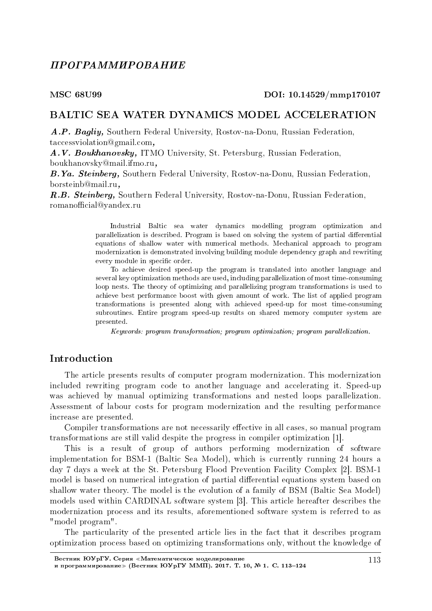## TIPOFPA MMUPOBA HUE

#### MSC 68U99 DOI: 10.14529/mmp170107

### BALTIC SEA WATER DYNAMICS MODEL ACCELERATION

A.P. Bagliy, Southern Federal University, Rostov-na-Donu, Russian Federation, taccessviolation@gmail.com,

À.V. Boukhanovsky, ITMO University, St. Petersburg, Russian Federation, boukhanovsky@mail.ifmo.ru,

B.Ya. Steinberg, Southern Federal University, Rostov-na-Donu, Russian Federation, borsteinb@mail.ru,

R.B. Steinberg, Southern Federal University, Rostov-na-Donu, Russian Federation, romanofficial@yandex.ru

> Industrial Baltic sea water dynamics modelling program optimization and parallelization is described. Program is based on solving the system of partial differential equations of shallow water with numerical methods. Mechanical approach to program modernization is demonstrated involving building module dependency graph and rewriting every module in specific order.

> To achieve desired speed-up the program is translated into another language and several key optimization methods are used, including parallelization of most time-consuming loop nests. The theory of optimizing and parallelizing program transformations is used to achieve best performance boost with given amount of work. The list of applied program transformations is presented along with achieved speed-up for most time-consuming subroutines. Entire program speed-up results on shared memory computer system are presented.

Keywords: program transformation; program optimization; program parallelization.

### Introduction

The article presents results of computer program modernization. This modernization included rewriting program code to another language and accelerating it. Speed-up was achieved by manual optimizing transformations and nested loops parallelization. Assessment of labour costs for program modernization and the resulting performance increase are presented.

Compiler transformations are not necessarily effective in all cases, so manual program transformations are still valid despite the progress in compiler optimization [1].

This is a result of group of authors performing modernization of software implementation for BSM-1 (Baltic Sea Model), which is currently running 24 hours a day 7 days a week at the St. Petersburg Flood Prevention Facility Complex [2]. BSM-1 model is based on numerical integration of partial differential equations system based on shallow water theory. The model is the evolution of a family of BSM (Baltic Sea Model) models used within CARDINAL software system [3]. This article hereafter describes the modernization process and its results, aforementioned software system is referred to as "model program".

The particularity of the presented article lies in the fact that it describes program optimization process based on optimizing transformations only, without the knowledge of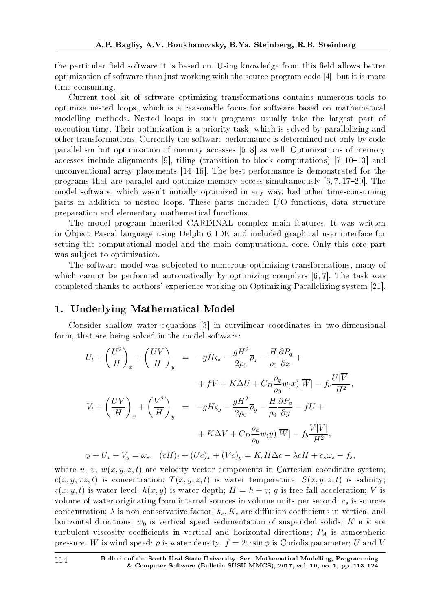the particular field software it is based on. Using knowledge from this field allows better optimization of software than just working with the source program code [4], but it is more time-consuming.

Current tool kit of software optimizing transformations contains numerous tools to optimize nested loops, which is a reasonable focus for software based on mathematical modelling methods. Nested loops in such programs usually take the largest part of execution time. Their optimization is a priority task, which is solved by parallelizing and other transformations. Currently the software performance is determined not only by code parallelism but optimization of memory accesses [5-8] as well. Optimizations of memory accesses include alignments [9], tiling (transition to block computations)  $[7, 10-13]$  and unconventional array placements  $[14-16]$ . The best performance is demonstrated for the programs that are parallel and optimize memory access simultaneously  $[6, 7, 17-20]$ . The model software, which wasn't initially optimized in any way, had other time-consuming parts in addition to nested loops. These parts included I/O functions, data structure preparation and elementary mathematical functions.

The model program inherited CARDINAL complex main features. It was written in Object Pascal language using Delphi 6 IDE and included graphical user interface for setting the computational model and the main computational core. Only this core part was subject to optimization.

The software model was subjected to numerous optimizing transformations, many of which cannot be performed automatically by optimizing compilers [6, 7]. The task was completed thanks to authors' experience working on Optimizing Parallelizing system [21].

### 1. Underlying Mathematical Model

Consider shallow water equations [3] in curvilinear coordinates in two-dimensional form, that are being solved in the model software:

$$
U_t + \left(\frac{U^2}{H}\right)_x + \left(\frac{UV}{H}\right)_y = -gH\zeta_x - \frac{gH^2}{2\rho_0}\overline{\rho}_x - \frac{H}{\rho_0}\frac{\partial P_q}{\partial x} +
$$
  
+  $fV + K\Delta U + C_D\frac{\rho_q}{\rho_0}w(x)|\overline{W}| - f_b\frac{U|\overline{V}|}{H^2},$   

$$
V_t + \left(\frac{UV}{H}\right)_x + \left(\frac{V^2}{H}\right)_y = -gH\zeta_y - \frac{gH^2}{2\rho_0}\overline{\rho}_y - \frac{H}{\rho_0}\frac{\partial P_a}{\partial y} - fU +
$$
  
+  $K\Delta V + C_D\frac{\rho_a}{\rho_0}w(y)|\overline{W}| - f_b\frac{V|\overline{V}|}{H^2},$   

$$
\zeta_t + U_x + V_y = \omega_s, \quad (\overline{c}H)_t + (U\overline{c})_x + (V\overline{c})_y = K_cH\Delta\overline{c} - \lambda\overline{c}H + \overline{c}_s\omega_s - f_s,
$$

where *u, v,*  $w(x, y, z, t)$  are velocity vector components in Cartesian coordinate system;  $c(x, y, xz, t)$  is concentration;  $T(x, y, z, t)$  is water temperature;  $S(x, y, z, t)$  is salinity;  $\zeta(x, y, t)$  is water level;  $h(x, y)$  is water depth;  $H = h + \zeta$ ; *q* is free fall acceleration; *V* is volume of water originating from internal sources in volume units per second; *c<sup>s</sup>* is sources concentration;  $\lambda$  is non-conservative factor;  $k_c$ ,  $K_c$  are diffusion coefficients in vertical and horizontal directions;  $w_0$  is vertical speed sedimentation of suspended solids;  $K$   $\mu$   $k$  are turbulent viscosity coefficients in vertical and horizontal directions;  $P_A$  is atmospheric pressure; *W* is wind speed;  $\rho$  is water density;  $f = 2\omega \sin \phi$  is Coriolis parameter; *U* and *V*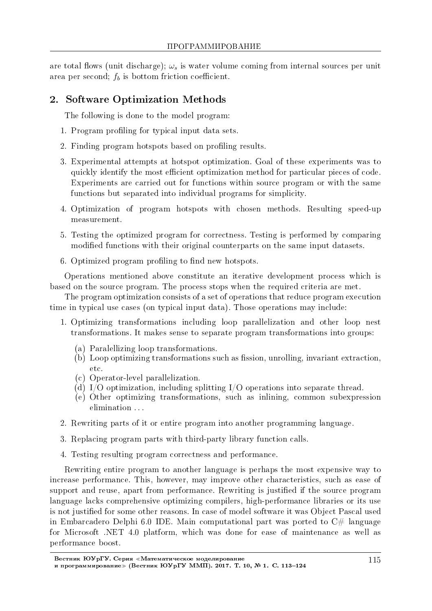are total flows (unit discharge);  $\omega_s$  is water volume coming from internal sources per unit area per second;  $f_b$  is bottom friction coefficient.

# 2. Software Optimization Methods

The following is done to the model program:

- 1. Program profiling for typical input data sets.
- 2. Finding program hotspots based on profiling results.
- 3. Experimental attempts at hotspot optimization. Goal of these experiments was to quickly identify the most efficient optimization method for particular pieces of code. Experiments are carried out for functions within source program or with the same functions but separated into individual programs for simplicity.
- 4. Optimization of program hotspots with chosen methods. Resulting speed-up measurement.
- 5. Testing the optimized program for correctness. Testing is performed by comparing modified functions with their original counterparts on the same input datasets.
- 6. Optimized program profiling to find new hotspots.

Operations mentioned above constitute an iterative development process which is based on the source program. The process stops when the required criteria are met.

The program optimization consists of a set of operations that reduce program execution time in typical use cases (on typical input data). Those operations may include:

- 1. Optimizing transformations including loop parallelization and other loop nest transformations. It makes sense to separate program transformations into groups:
	- (a) Paralellizing loop transformations.
	- $(b)$  Loop optimizing transformations such as fission, unrolling, invariant extraction, etc.
	- (c) Operator-level parallelization.
	- (d) I/O optimization, including splitting I/O operations into separate thread.
	- (e) Other optimizing transformations, such as inlining, common subexpression elimination ...
- 2. Rewriting parts of it or entire program into another programming language.
- 3. Replacing program parts with third-party library function calls.
- 4. Testing resulting program correctness and performance.

Rewriting entire program to another language is perhaps the most expensive way to increase performance. This, however, may improve other characteristics, such as ease of support and reuse, apart from performance. Rewriting is justified if the source program language lacks comprehensive optimizing compilers, high-performance libraries or its use is not justified for some other reasons. In case of model software it was Object Pascal used in Embarcadero Delphi 6.0 IDE. Main computational part was ported to  $C#$  language for Microsoft .NET 4.0 platform, which was done for ease of maintenance as well as performance boost.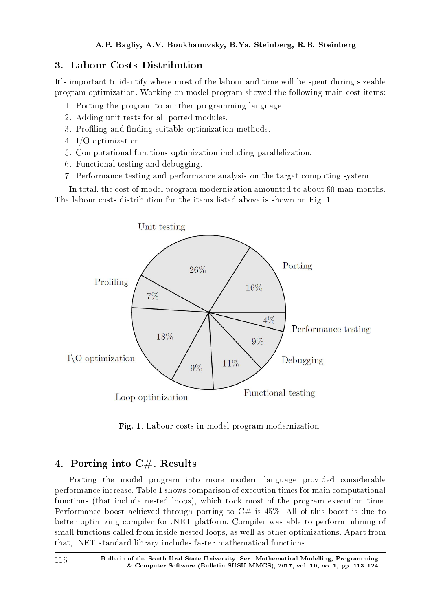# 3. Labour Costs Distribution

It's important to identify where most of the labour and time will be spent during sizeable program optimization. Working on model program showed the following main cost items:

- 1. Porting the program to another programming language.
- 2. Adding unit tests for all ported modules.
- 3. Profiling and finding suitable optimization methods.
- 4. I/O optimization.
- 5. Computational functions optimization including parallelization.
- 6. Functional testing and debugging.
- 7. Performance testing and performance analysis on the target computing system.

In total, the cost of model program modernization amounted to about 60 man-months. The labour costs distribution for the items listed above is shown on Fig. 1.



Fig. 1. Labour costs in model program modernization

# 4. Porting into  $C#$ . Results

Porting the model program into more modern language provided considerable performance increase. Table 1 shows comparison of execution times for main computational functions (that include nested loops), which took most of the program execution time. Performance boost achieved through porting to  $C#$  is 45%. All of this boost is due to better optimizing compiler for .NET platform. Compiler was able to perform inlining of small functions called from inside nested loops, as well as other optimizations. Apart from that, .NET standard library includes faster mathematical functions.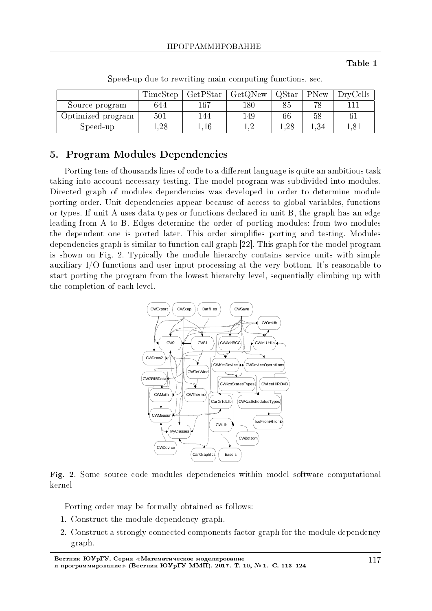#### Table 1

|                   | TimeStep | $\operatorname{GetPStar}$ | GetQNew | QStar    | PNew     | <b>DryCells</b> |
|-------------------|----------|---------------------------|---------|----------|----------|-----------------|
| Source program    | 644      | $167\,$                   | 180     | 85       |          |                 |
| Optimized program | 501      | 144                       | 149     | 66       | 58       | 61              |
| Speed-up          | $1.28\,$ |                           |         | $1.28\,$ | $1.34\,$ | 1.81            |

Speed-up due to rewriting main computing functions, sec.

## 5. Program Modules Dependencies

Porting tens of thousands lines of code to a different language is quite an ambitious task taking into account necessary testing. The model program was subdivided into modules. Directed graph of modules dependencies was developed in order to determine module porting order. Unit dependencies appear because of access to global variables, functions or types. If unit A uses data types or functions declared in unit B, the graph has an edge leading from A to B. Edges determine the order of porting modules: from two modules the dependent one is ported later. This order simplifies porting and testing. Modules dependencies graph is similar to function call graph [22]. This graph for the model program is shown on Fig. 2. Typically the module hierarchy contains service units with simple auxiliary I/O functions and user input processing at the very bottom. It's reasonable to start porting the program from the lowest hierarchy level, sequentially climbing up with the completion of each level.





Porting order may be formally obtained as follows:

- 1. Construct the module dependency graph.
- 2. Construct a strongly connected components factor-graph for the module dependency graph.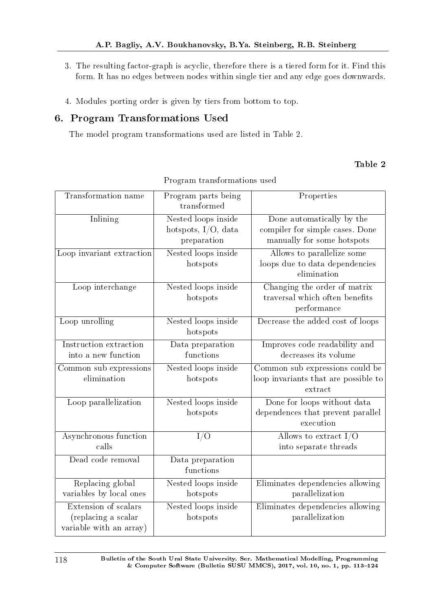- 3. The resulting factor-graph is acyclic, therefore there is a tiered form for it. Find this form. It has no edges between nodes within single tier and any edge goes downwards.
- 4. Modules porting order is given by tiers from bottom to top.

## 6. Program Transformations Used

The model program transformations used are listed in Table 2.

## Table 2

| Transformation name                                                    | Program parts being<br>transformed                        | Properties                                                                                 |
|------------------------------------------------------------------------|-----------------------------------------------------------|--------------------------------------------------------------------------------------------|
| Inlining                                                               | Nested loops inside<br>hotspots, I/O, data<br>preparation | Done automatically by the<br>compiler for simple cases. Done<br>manually for some hotspots |
| Loop invariant extraction                                              | Nested loops inside<br>hotspots                           | Allows to parallelize some<br>loops due to data dependencies<br>elimination                |
| Loop interchange                                                       | Nested loops inside<br>hotspots                           | Changing the order of matrix<br>traversal which often benefits<br>performance              |
| Loop unrolling                                                         | Nested loops inside<br>hotspots                           | Decrease the added cost of loops                                                           |
| Instruction extraction<br>into a new function                          | Data preparation<br>functions                             | Improves code readability and<br>decreases its volume                                      |
| Common sub expressions<br>elimination                                  | Nested loops inside<br>hotspots                           | Common sub expressions could be<br>loop invariants that are possible to<br>extract         |
| Loop parallelization                                                   | Nested loops inside<br>hotspots                           | Done for loops without data<br>dependences that prevent parallel<br>execution              |
| Asynchronous function<br>calls                                         | I/O                                                       | Allows to extract $I/O$<br>into separate threads                                           |
| Dead code removal                                                      | Data preparation<br>functions                             |                                                                                            |
| Replacing global<br>variables by local ones                            | Nested loops inside<br>hotspots                           | Eliminates dependencies allowing<br>parallelization                                        |
| Extension of scalars<br>(replacing a scalar<br>variable with an array) | Nested loops inside<br>hotspots                           | Eliminates dependencies allowing<br>parallelization                                        |

Program transformations used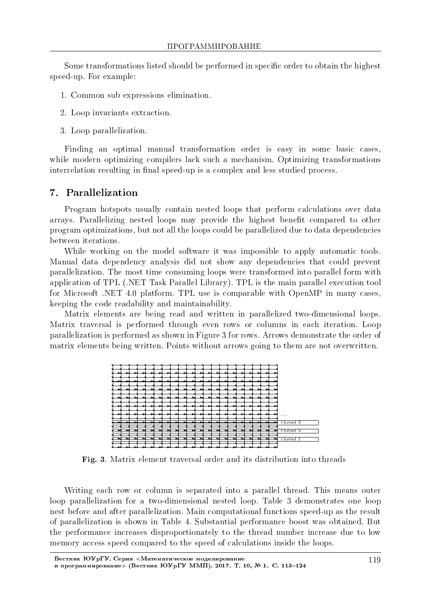Some transformations listed should be performed in specific order to obtain the highest speed-up. For example:

- 1. Common sub expressions elimination.
- 2. Loop invariants extraction.
- 3. Loop parallelization.

Finding an optimal manual transformation order is easy in some basic cases, while modern optimizing compilers lack such a mechanism. Optimizing transformations interrelation resulting in final speed-up is a complex and less studied process.

## 7. Parallelization

Program hotspots usually contain nested loops that perform calculations over data arrays. Parallelizing nested loops may provide the highest benefit compared to other program optimizations, but not all the loops could be parallelized due to data dependencies between iterations.

While working on the model software it was impossible to apply automatic tools. Manual data dependency analysis did not show any dependencies that could prevent parallelization. The most time consuming loops were transformed into parallel form with application of TPL (.NET Task Parallel Library). TPL is the main parallel execution tool for Microsoft .NET 4.0 platform. TPL use is comparable with OpenMP in many cases, keeping the code readability and maintainability.

Matrix elements are being read and written in parallelized two-dimensional loops. Matrix traversal is performed through even rows or columns in each iteration. Loop parallelization is performed as shown in Figure 3 for rows. Arrows demonstrate the order of matrix elements being written. Points without arrows going to them are not overwritten.



Fig. 3. Matrix element traversal order and its distribution into threads

Writing each row or column is separated into a parallel thread. This means outer loop parallelization for a two-dimensional nested loop. Table 3 demonstrates one loop nest before and after parallelization. Main computational functions speed-up as the result of parallelization is shown in Table 4. Substantial performance boost was obtained. But the performance increases disproportionately to the thread number increase due to low memory access speed compared to the speed of calculations inside the loops.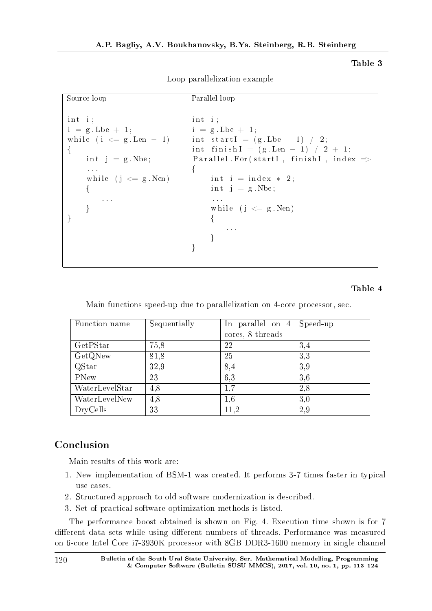#### Table 3

| Parallel loop                                     |
|---------------------------------------------------|
|                                                   |
| int i;                                            |
| $i = g$ Lbe $+ 1$ ;                               |
| int start $I = (g.$ Lbe $+1$ $/2$ ;               |
| int finish $I = (g.Len - 1) / 2 + 1;$             |
| Parallel For(startI, finishI, index $\Rightarrow$ |
| $\left\{ \right.$                                 |
| int i = index $*$ 2;                              |
| $int j = g.Nbe;$                                  |
| $\mathbf{A}=\mathbf{A}+\mathbf{A}$                |
| while $(j \leq g$ Nen)                            |
|                                                   |
| <b>Contractor</b>                                 |
|                                                   |
|                                                   |
|                                                   |
|                                                   |

Loop parallelization example

### Table 4

Main functions speed-up due to parallelization on 4-core processor, sec.

| Function name  | Sequentially | In parallel on 4 | Speed-up |
|----------------|--------------|------------------|----------|
|                |              | cores, 8 threads |          |
| GetPStar       | 75,8         | 22               | 3.4      |
| GetQNew        | 81,8         | 25               | 3,3      |
| QStar          | 32,9         | 8,4              | 3,9      |
| PNew           | 23           | 6,3              | 3,6      |
| WaterLevelStar | 4,8          | $1.7\,$          | 2.8      |
| WaterLevelNew  | 4,8          | $1.6\,$          | 3,0      |
| DryCells       | 33           | 11.2             | 2,9      |

# Conclusion

Main results of this work are:

- 1. New implementation of BSM-1 was created. It performs 3-7 times faster in typical use cases.
- 2. Structured approach to old software modernization is described.
- 3. Set of practical software optimization methods is listed.

The performance boost obtained is shown on Fig. 4. Execution time shown is for 7 different data sets while using different numbers of threads. Performance was measured on 6-core Intel Core i7-3930K processor with 8GB DDR3-1600 memory in single channel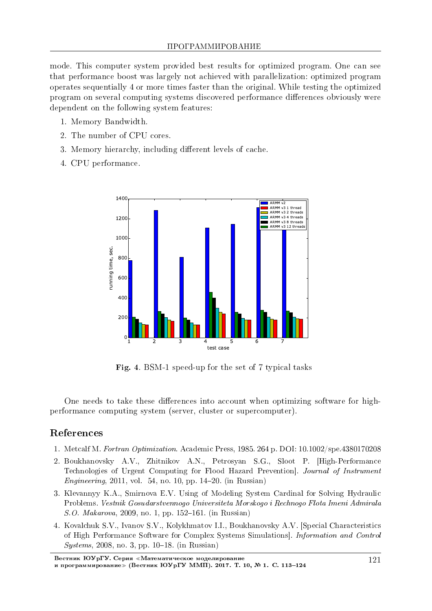mode. This computer system provided best results for optimized program. One can see that performance boost was largely not achieved with parallelization: optimized program operates sequentially 4 or more times faster than the original. While testing the optimized program on several computing systems discovered performance differences obviously were dependent on the following system features:

- 1. Memory Bandwidth.
- 2. The number of CPU cores.
- 3. Memory hierarchy, including different levels of cache.
- 4. CPU performance.



Fig. 4. BSM-1 speed-up for the set of 7 typical tasks

One needs to take these differences into account when optimizing software for highperformance computing system (server, cluster or supercomputer).

## References

- 1. Metcalf M. Fortran Optimization. Academic Press, 1985. 264 p. DOI: 10.1002/spe.4380170208
- 2. Boukhanovsky À.V., Zhitnikov À.N., Petrosyan S.G., Sloot P. [High-Performance Technologies of Urgent Computing for Flood Hazard Prevention]. Journal of Instrument *Engineering*, 2011, vol. 54, no. 10, pp. 14–20. (in Russian)
- 3. Klevannyy K.A., Smirnova E.V. Using of Modeling System Cardinal for Solving Hydraulic Problems. Vestnik Gosudarstvennogo Universiteta Morskogo i Rechnogo Flota Imeni Admirala  $S.O. Makarova, 2009, no. 1, pp. 152–161. (in Russian)$
- 4. Kovalchuk S.V., Ivanov S.V., Kolykhmatov I.I., Boukhanovsky A.V. [Special Characteristics of High Performance Software for Complex Systems Simulations]. Information and Control  $Systems, 2008, no. 3, pp. 10-18. (in Russian)$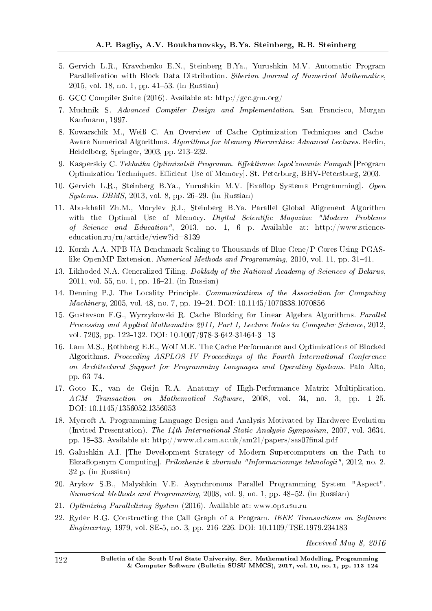- 5. Gervich L.R., Kravchenko E.N., Steinberg B.Ya., Yurushkin M.V. Automatic Program Parallelization with Block Data Distribution. Siberian Journal of Numerical Mathematics, 2015, vol. 18, no. 1, pp. 4153. (in Russian)
- 6. GCC Compiler Suite (2016). Available at: http://gcc.gnu.org/
- 7. Muchnik S. Advanced Compiler Design and Implementation. San Francisco, Morgan Kaufmann, 1997.
- 8. Kowarschik M., Weiß C. An Overview of Cache Optimization Techniques and Cache-Aware Numerical Algorithms. Algorithms for Memory Hierarchies: Advanced Lectures. Berlin, Heidelberg, Springer, 2003, pp. 213-232.
- 9. Kasperskiy C. Tekhnika Optimizatsii Programm. Effektivnoe Ispol'zovanie Pamyati [Program Optimization Techniques. Efficient Use of Memory. St. Peterburg, BHV-Petersburg, 2003.
- 10. Gervich L.R., Steinberg B.Ya., Yurushkin M.V. [Exaflop Systems Programming]. Open  $Systems. DBMS, 2013, vol. 8, pp. 26-29. (in Russian)$
- 11. Abu-khalil Zh.M., Morylev R.I., Steinberg B.Ya. Parallel Global Alignment Algorithm with the Optimal Use of Memory. Digital Scientific Magazine "Modern Problems of Science and Education", 2013, no. 1, 6 p. Available at: http://www.scienceeducation.ru/ru/article/view?id=8139
- 12. Korzh A.A. NPB UA Benchmark Scaling to Thousands of Blue Gene/P Cores Using PGASlike OpenMP Extension. Numerical Methods and Programming, 2010, vol. 11, pp. 31–41.
- 13. Likhoded N.A. Generalized Tiling. Doklady of the National Academy of Sciences of Belarus, 2011, vol. 55, no. 1, pp. 1621. (in Russian)
- 14. Denning P.J. The Locality Principle. Communications of the Association for Computing *Machinery*, 2005, vol. 48, no. 7, pp. 19–24. DOI:  $10.1145/1070838.1070856$
- 15. Gustavson F.G., Wyrzykowski R. Cache Blocking for Linear Algebra Algorithms. Parallel Processing and Applied Mathematics 2011, Part I, Lecture Notes in Computer Science, 2012, vol. 7203, pp. 122-132. DOI: 10.1007/978-3-642-31464-3\_13
- 16. Lam M.S., Rothberg E.E., Wolf M.E. The Cache Performance and Optimizations of Blocked Algorithms. Proceeding ASPLOS IV Proceedings of the Fourth International Conference on Architectural Support for Programming Languages and Operating Systems. Palo Alto, pp. 63-74.
- 17. Goto K., van de Geijn R.A. Anatomy of High-Performance Matrix Multiplication.  $ACM$  Transaction on Mathematical Software, 2008, vol. 34, no. 3, pp. 1–25. DOI: 10.1145/1356052.1356053
- 18. Mycroft A. Programming Language Design and Analysis Motivated by Hardwere Evolution (Invited Presentation). The 14th International Static Analysis Symposium, 2007, vol. 3634, pp. 18–33. Available at: http://www.cl.cam.ac.uk/am21/papers/sas07final.pdf
- 19. Galushkin A.I. [The Development Strategy of Modern Supercomputers on the Path to Ekzaflopsnym Computing]. *Prilozhenie k zhurnalu "Informacionnye tehnologii"*, 2012, no. 2. 32 p. (in Russian)
- 20. Arykov S.B., Malyshkin V.E. Asynchronous Parallel Programming System "Aspect". Numerical Methods and Programming, 2008, vol. 9, no. 1, pp. 48-52. (in Russian)
- 21. Optimizing Parallelizing System (2016). Available at: www.ops.rsu.ru
- 22. Ryder B.G. Constructing the Call Graph of a Program. IEEE Transactions on Software Engineering, 1979, vol. SE-5, no. 3, pp. 216226. DOI: 10.1109/TSE.1979.234183

Received May 8, 2016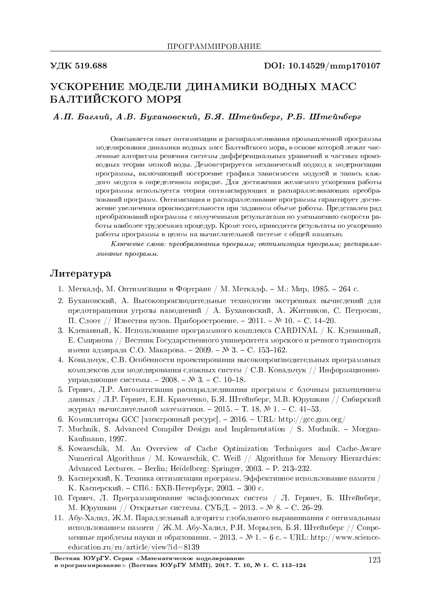#### VДК 519.688 DOI: 10.14529/mmp170107

# УСКОРЕНИЕ МОДЕЛИ ДИНАМИКИ ВОДНЫХ МАСС БАЛТИЙСКОГО МОРЯ

А.П. Баглий, А.В. Бухановский, Б.Я. Штейнберг, Р.Б. Штейнберг

Описывается опыт оптимизации и распараллеливания промышленной программы моделирования динамики водных масс Балтийского моря, в основе которой лежат численные алгоритмы решения системы дифференциальных уравнений в частных производных теории мелкой воды. Демонстрируется механический подход к модернизации программы, включающий построение графика зависимости модулей и запись каждого модуля в определенном порядке. Для достижения желаемого ускорения работы программы используется теория оптимизирующих и распараллеливающих преобразований программ. Оптимизация и распараллеливание программы гарантирует достижение увеличения производительности при заданном объеме работы. Представлен ряд преобразований программы с полученными результатами по уменьшению скорости работы наиболее трудоемких процедур. Кроме того, приводятся результаты по ускорению работы программы в целом на вычислительной системе с общей памятью.

 $K$ лючевые слова: преобразования программ; оптимизация программ; распараллеливание программ.

### $J$ <sub>*M*Teparypa</sub>

- 1. Меткалф, М. Оптимизация в Фортране / М. Меткалф. М.: Мир, 1985. 264 с.
- 2. Бухановский, А. Высокопроизводительные технологии экстренных вычислений для предотвращения угрозы наводнений / А. Бухановский, А. Житников, С. Петросян,  $\Pi$ . Слоот // Известия вузов. Приборостроение. −2011. – № 10. – С. 14–20.
- 3. Клеванный, К. Использование программного комплекса CARDINAL / К. Клеванный,  $E.$  Смирнова // Вестник Государственного университета морского и речного транспорта имени адмирала С.О. Макарова. − 2009. – № 3. – С. 153–162.
- 4. Ковальчук, С.В. Особенности проектирования высокопроизводительных программных комплексов для моделирования сложных систем / С.В. Ковальчук // Информационноуправляющие системы. - 2008. - № 3. - С. 10-18.
- 5. Гервич, Л.Р. Автоматизация распараллеливания программ с блочным размещением данных / Л.Р. Гервич, Е.Н. Кравченко, Б.Я. Штейнберг, М.В. Юрушкин // Сибирский журнал вычислительной математики. - 2015. - Т. 18, № 1. - С. 41-53.
- 6. Компиляторы GCC [электронный ресурс]. 2016. URL: http://gcc.gnu.org/
- 7. Muchnik, S. Advanced Compiler Design and Implementation  $\ell$  S. Muchnik. Morgan-Kaufmann, 1997.
- 8. Kowarschik, M. An Overview of Cache Optimization Techniques and Cache-Aware Numerical Algorithms / M. Kowarschik, C. Weiß // Algorithms for Memory Hierarchies: Advanced Lectures. - Berlin; Heidelberg: Springer, 2003. - P. 213-232.
- 9. Касперский, К. Техника оптимизации программ. Эффективное использование памяти / К. Касперский. – СПб.: БХВ-Петербург, 2003. – 300 с.
- 10. Гервич, Л. Программирование экзафлопсных систем / Л. Гервич, Б. Штейнберг, М. Юрушкин // Открытые системы. СУБД. - 2013. – № 8. - С. 26-29.
- 11. Абу-Халил, Ж.М. Параллельный алгоритм глобального выравнивания с оптимальным использованием памяти / Ж.М. Абу-Халил, Р.И. Морылев, Б.Я. Штейнберг // Современные проблемы науки и образования. - 2013. – № 1. - 6 с. - URL: http://www.scienceeducation.ru/ru/article/view?id=8139